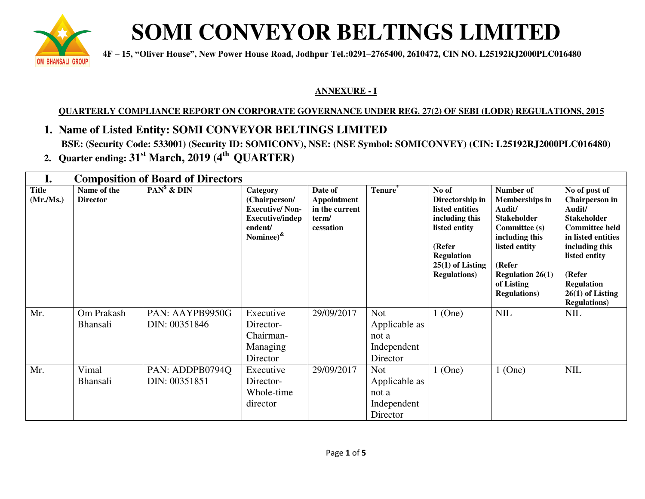

## **SOMI CONVEYOR BELTINGS LIMITED**

 **are about a**  $4F - 15$ , "Oliver House", New Power House Road, Jodhpur Tel.:0291–2765400, 2610472, CIN NO. L25192RJ2000PLC016480

#### **ANNEXURE - I**

#### **QUARTERLY COMPLIANCE REPORT ON CORPORATE GOVERNANCE UNDER REG. 27(2) OF SEBI (LODR) REGULATIONS, 2015**

- **1. Name of Listed Entity: SOMI CONVEYOR BELTINGS LIMITED BSE: (Security Code: 533001) (Security ID: SOMICONV), NSE: (NSE Symbol: SOMICONVEY) (CIN: L25192RJ2000PLC016480)**
- **2. Quarter ending: 31st March, 2019 (4th QUARTER)**

| I.                       | <b>Composition of Board of Directors</b> |                                  |                                                                                                              |                                                                |                                                                 |                                                                                                                                                             |                                                                                                                                                                                                          |                                                                                                                                                                                                                                       |
|--------------------------|------------------------------------------|----------------------------------|--------------------------------------------------------------------------------------------------------------|----------------------------------------------------------------|-----------------------------------------------------------------|-------------------------------------------------------------------------------------------------------------------------------------------------------------|----------------------------------------------------------------------------------------------------------------------------------------------------------------------------------------------------------|---------------------------------------------------------------------------------------------------------------------------------------------------------------------------------------------------------------------------------------|
| <b>Title</b><br>(Mr/Ms.) | Name of the<br><b>Director</b>           | $PANs$ & $DIN$                   | Category<br>(Chairperson/<br><b>Executive/Non-</b><br><b>Executive/indep</b><br>endent/<br>Nominee) $\kappa$ | Date of<br>Appointment<br>in the current<br>term/<br>cessation | Tenure <sup>®</sup>                                             | No of<br>Directorship in<br>listed entities<br>including this<br>listed entity<br>(Refer<br><b>Regulation</b><br>$25(1)$ of Listing<br><b>Regulations</b> ) | Number of<br><b>Memberships in</b><br>Audit/<br><b>Stakeholder</b><br><b>Committee (s)</b><br>including this<br>listed entity<br>(Refer<br><b>Regulation 26(1)</b><br>of Listing<br><b>Regulations</b> ) | No of post of<br><b>Chairperson</b> in<br>Audit/<br><b>Stakeholder</b><br><b>Committee held</b><br>in listed entities<br>including this<br>listed entity<br>(Refer<br><b>Regulation</b><br>$26(1)$ of Listing<br><b>Regulations</b> ) |
| Mr.                      | Om Prakash<br><b>Bhansali</b>            | PAN: AAYPB9950G<br>DIN: 00351846 | Executive<br>Director-<br>Chairman-<br>Managing<br>Director                                                  | 29/09/2017                                                     | <b>Not</b><br>Applicable as<br>not a<br>Independent<br>Director | $1$ (One)                                                                                                                                                   | <b>NIL</b>                                                                                                                                                                                               | <b>NIL</b>                                                                                                                                                                                                                            |
| Mr.                      | Vimal<br><b>Bhansali</b>                 | PAN: ADDPB0794Q<br>DIN: 00351851 | Executive<br>Director-<br>Whole-time<br>director                                                             | 29/09/2017                                                     | <b>Not</b><br>Applicable as<br>not a<br>Independent<br>Director | $1$ (One)                                                                                                                                                   | $1$ (One)                                                                                                                                                                                                | <b>NIL</b>                                                                                                                                                                                                                            |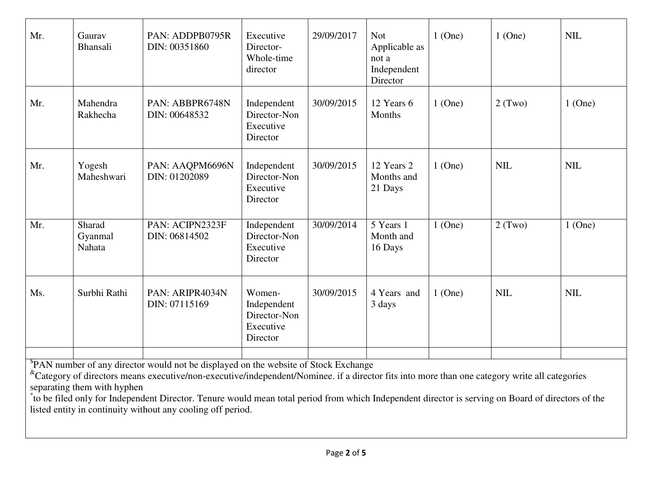| Mr.                                                                                                                                                                                                                                                                                                                                                                                                                                     | Gaurav<br>Bhansali          | PAN: ADDPB0795R<br>DIN: 00351860 | Executive<br>Director-<br>Whole-time<br>director               | 29/09/2017 | <b>Not</b><br>Applicable as<br>not a<br>Independent<br>Director | $1$ (One) | $1$ (One)  | <b>NIL</b> |
|-----------------------------------------------------------------------------------------------------------------------------------------------------------------------------------------------------------------------------------------------------------------------------------------------------------------------------------------------------------------------------------------------------------------------------------------|-----------------------------|----------------------------------|----------------------------------------------------------------|------------|-----------------------------------------------------------------|-----------|------------|------------|
| Mr.                                                                                                                                                                                                                                                                                                                                                                                                                                     | Mahendra<br>Rakhecha        | PAN: ABBPR6748N<br>DIN: 00648532 | Independent<br>Director-Non<br>Executive<br>Director           | 30/09/2015 | 12 Years 6<br>Months                                            | $1$ (One) | 2(Two)     | $1$ (One)  |
| Mr.                                                                                                                                                                                                                                                                                                                                                                                                                                     | Yogesh<br>Maheshwari        | PAN: AAQPM6696N<br>DIN: 01202089 | Independent<br>Director-Non<br>Executive<br>Director           | 30/09/2015 | 12 Years 2<br>Months and<br>21 Days                             | $1$ (One) | <b>NIL</b> | <b>NIL</b> |
| Mr.                                                                                                                                                                                                                                                                                                                                                                                                                                     | Sharad<br>Gyanmal<br>Nahata | PAN: ACIPN2323F<br>DIN: 06814502 | Independent<br>Director-Non<br>Executive<br>Director           | 30/09/2014 | 5 Years 1<br>Month and<br>16 Days                               | $1$ (One) | 2(Two)     | $1$ (One)  |
| Ms.                                                                                                                                                                                                                                                                                                                                                                                                                                     | Surbhi Rathi                | PAN: ARIPR4034N<br>DIN: 07115169 | Women-<br>Independent<br>Director-Non<br>Executive<br>Director | 30/09/2015 | 4 Years and<br>3 days                                           | $1$ (One) | <b>NIL</b> | <b>NIL</b> |
| PAN number of any director would not be displayed on the website of Stock Exchange<br><sup>&amp;</sup> Category of directors means executive/non-executive/independent/Nominee. if a director fits into more than one category write all categories<br>separating them with hyphen<br>to be filed only for Independent Director. Tenure would mean total period from which Independent director is serving on Board of directors of the |                             |                                  |                                                                |            |                                                                 |           |            |            |

listed entity in continuity without any cooling off period.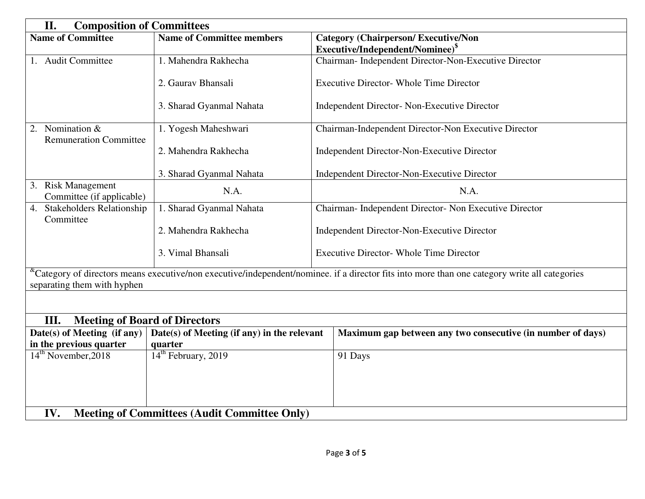| II.<br><b>Composition of Committees</b>                                                                                                                                                      |                                             |                                                             |  |  |  |
|----------------------------------------------------------------------------------------------------------------------------------------------------------------------------------------------|---------------------------------------------|-------------------------------------------------------------|--|--|--|
| <b>Name of Committee</b>                                                                                                                                                                     | <b>Name of Committee members</b>            | <b>Category (Chairperson/Executive/Non</b>                  |  |  |  |
|                                                                                                                                                                                              |                                             | Executive/Independent/Nominee) <sup>§</sup>                 |  |  |  |
| 1. Audit Committee                                                                                                                                                                           | 1. Mahendra Rakhecha                        | Chairman- Independent Director-Non-Executive Director       |  |  |  |
|                                                                                                                                                                                              | 2. Gauray Bhansali                          | <b>Executive Director- Whole Time Director</b>              |  |  |  |
|                                                                                                                                                                                              | 3. Sharad Gyanmal Nahata                    | <b>Independent Director- Non-Executive Director</b>         |  |  |  |
| 2. Nomination &<br><b>Remuneration Committee</b>                                                                                                                                             | 1. Yogesh Maheshwari                        | Chairman-Independent Director-Non Executive Director        |  |  |  |
|                                                                                                                                                                                              | 2. Mahendra Rakhecha                        | Independent Director-Non-Executive Director                 |  |  |  |
|                                                                                                                                                                                              | 3. Sharad Gyanmal Nahata                    | Independent Director-Non-Executive Director                 |  |  |  |
| 3. Risk Management<br>Committee (if applicable)                                                                                                                                              | N.A.                                        | N.A.                                                        |  |  |  |
| <b>Stakeholders Relationship</b><br>4.<br>Committee                                                                                                                                          | 1. Sharad Gyanmal Nahata                    | Chairman- Independent Director- Non Executive Director      |  |  |  |
|                                                                                                                                                                                              | 2. Mahendra Rakhecha                        | Independent Director-Non-Executive Director                 |  |  |  |
| 3. Vimal Bhansali                                                                                                                                                                            |                                             | <b>Executive Director- Whole Time Director</b>              |  |  |  |
| <sup>&amp;</sup> Category of directors means executive/non executive/independent/nominee. if a director fits into more than one category write all categories<br>separating them with hyphen |                                             |                                                             |  |  |  |
|                                                                                                                                                                                              |                                             |                                                             |  |  |  |
| III.<br><b>Meeting of Board of Directors</b>                                                                                                                                                 |                                             |                                                             |  |  |  |
| Date(s) of Meeting (if any)                                                                                                                                                                  | Date(s) of Meeting (if any) in the relevant | Maximum gap between any two consecutive (in number of days) |  |  |  |
| in the previous quarter                                                                                                                                                                      | quarter                                     |                                                             |  |  |  |
| 14 <sup>th</sup> February, 2019<br>14 <sup>th</sup> November, 2018                                                                                                                           |                                             | 91 Days                                                     |  |  |  |
|                                                                                                                                                                                              |                                             |                                                             |  |  |  |
|                                                                                                                                                                                              |                                             |                                                             |  |  |  |
| IV.<br><b>Meeting of Committees (Audit Committee Only)</b>                                                                                                                                   |                                             |                                                             |  |  |  |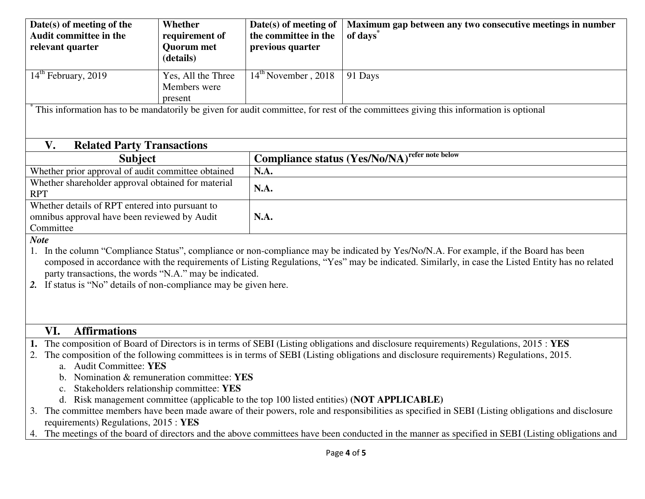| Date(s) of meeting of the<br>Audit committee in the<br>relevant quarter                                                                 | Whether<br>requirement of<br><b>Quorum</b> met<br>(details)                          | Date(s) of meeting of<br>the committee in the<br>previous quarter | Maximum gap between any two consecutive meetings in number<br>of days <sup>*</sup>                                                                                                                                                                                                                                                                                         |  |  |  |
|-----------------------------------------------------------------------------------------------------------------------------------------|--------------------------------------------------------------------------------------|-------------------------------------------------------------------|----------------------------------------------------------------------------------------------------------------------------------------------------------------------------------------------------------------------------------------------------------------------------------------------------------------------------------------------------------------------------|--|--|--|
| $14th$ February, 2019                                                                                                                   | Yes, All the Three<br>Members were<br>present                                        | $14th$ November, 2018                                             | 91 Days                                                                                                                                                                                                                                                                                                                                                                    |  |  |  |
|                                                                                                                                         |                                                                                      |                                                                   | This information has to be mandatorily be given for audit committee, for rest of the committees giving this information is optional                                                                                                                                                                                                                                        |  |  |  |
| V.<br><b>Related Party Transactions</b>                                                                                                 |                                                                                      |                                                                   |                                                                                                                                                                                                                                                                                                                                                                            |  |  |  |
| <b>Subject</b>                                                                                                                          |                                                                                      |                                                                   | <b>Compliance status (Yes/No/NA)</b> refer note below                                                                                                                                                                                                                                                                                                                      |  |  |  |
| Whether prior approval of audit committee obtained                                                                                      |                                                                                      | N.A.                                                              |                                                                                                                                                                                                                                                                                                                                                                            |  |  |  |
| Whether shareholder approval obtained for material<br><b>RPT</b>                                                                        |                                                                                      | N.A.                                                              |                                                                                                                                                                                                                                                                                                                                                                            |  |  |  |
| Whether details of RPT entered into pursuant to                                                                                         |                                                                                      |                                                                   |                                                                                                                                                                                                                                                                                                                                                                            |  |  |  |
| omnibus approval have been reviewed by Audit                                                                                            |                                                                                      | N.A.                                                              |                                                                                                                                                                                                                                                                                                                                                                            |  |  |  |
|                                                                                                                                         | Committee                                                                            |                                                                   |                                                                                                                                                                                                                                                                                                                                                                            |  |  |  |
| <b>Note</b><br>party transactions, the words "N.A." may be indicated.<br>If status is "No" details of non-compliance may be given here. |                                                                                      |                                                                   | In the column "Compliance Status", compliance or non-compliance may be indicated by Yes/No/N.A. For example, if the Board has been<br>composed in accordance with the requirements of Listing Regulations, "Yes" may be indicated. Similarly, in case the Listed Entity has no related                                                                                     |  |  |  |
| VI.<br><b>Affirmations</b>                                                                                                              |                                                                                      |                                                                   |                                                                                                                                                                                                                                                                                                                                                                            |  |  |  |
| 2.<br>a. Audit Committee: YES                                                                                                           | Nomination & remuneration committee: YES<br>Stakeholders relationship committee: YES |                                                                   | 1. The composition of Board of Directors is in terms of SEBI (Listing obligations and disclosure requirements) Regulations, 2015: YES<br>The composition of the following committees is in terms of SEBI (Listing obligations and disclosure requirements) Regulations, 2015.<br>d. Risk management committee (applicable to the top 100 listed entities) (NOT APPLICABLE) |  |  |  |
| requirements) Regulations, 2015 : YES<br>4.                                                                                             |                                                                                      |                                                                   | 3. The committee members have been made aware of their powers, role and responsibilities as specified in SEBI (Listing obligations and disclosure<br>The meetings of the board of directors and the above committees have been conducted in the manner as specified in SEBI (Listing obligations and                                                                       |  |  |  |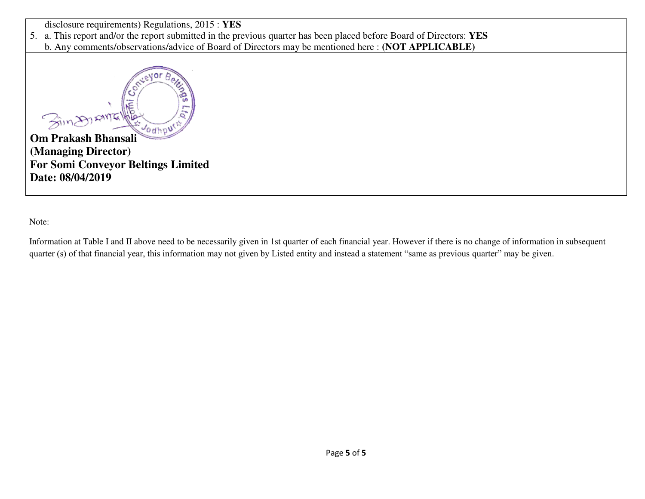disclosure requirements) Regulations, 2015 : **YES**

5. a. This report and/or the report submitted in the previous quarter has been placed before Board of Directors: **YES**

b. Any comments/observations/advice of Board of Directors may be mentioned here : **(NOT APPLICABLE)**



**(Managing Director) For Somi Conveyor Beltings Limited Date: 08/04/2019** 

Note:

Information at Table I and II above need to be necessarily given in 1st quarter of each financial year. However if there is no change of information in subsequent quarter (s) of that financial year, this information may not given by Listed entity and instead a statement "same as previous quarter" may be given.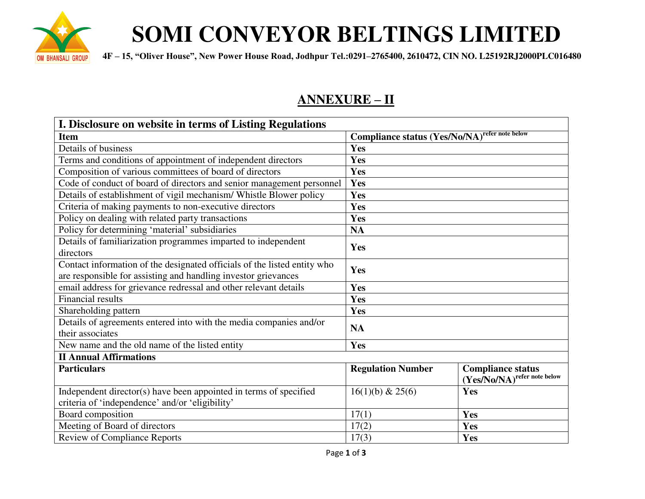

# **SOMI CONVEYOR BELTINGS LIMITED**

 **4F – 15, "Oliver House", New Power House Road, Jodhpur Tel.:0291–2765400, 2610472, CIN NO. L25192RJ2000PLC016480** 

### **ANNEXURE – II**

| I. Disclosure on website in terms of Listing Regulations                 |                                                       |                             |  |  |  |
|--------------------------------------------------------------------------|-------------------------------------------------------|-----------------------------|--|--|--|
| <b>Item</b>                                                              | <b>Compliance status (Yes/No/NA)</b> refer note below |                             |  |  |  |
| Details of business                                                      | Yes                                                   |                             |  |  |  |
| Terms and conditions of appointment of independent directors             | Yes                                                   |                             |  |  |  |
| Composition of various committees of board of directors                  | Yes                                                   |                             |  |  |  |
| Code of conduct of board of directors and senior management personnel    | Yes                                                   |                             |  |  |  |
| Details of establishment of vigil mechanism/ Whistle Blower policy       | Yes                                                   |                             |  |  |  |
| Criteria of making payments to non-executive directors                   | Yes                                                   |                             |  |  |  |
| Policy on dealing with related party transactions                        | Yes                                                   |                             |  |  |  |
| Policy for determining 'material' subsidiaries                           | <b>NA</b>                                             |                             |  |  |  |
| Details of familiarization programmes imparted to independent            | Yes                                                   |                             |  |  |  |
| directors                                                                |                                                       |                             |  |  |  |
| Contact information of the designated officials of the listed entity who | Yes                                                   |                             |  |  |  |
| are responsible for assisting and handling investor grievances           |                                                       |                             |  |  |  |
| email address for grievance redressal and other relevant details         | Yes                                                   |                             |  |  |  |
| <b>Financial results</b>                                                 | Yes                                                   |                             |  |  |  |
| Shareholding pattern                                                     | Yes                                                   |                             |  |  |  |
| Details of agreements entered into with the media companies and/or       | <b>NA</b>                                             |                             |  |  |  |
| their associates                                                         |                                                       |                             |  |  |  |
| New name and the old name of the listed entity                           | Yes                                                   |                             |  |  |  |
| <b>II Annual Affirmations</b>                                            |                                                       |                             |  |  |  |
| <b>Particulars</b>                                                       | <b>Regulation Number</b>                              | <b>Compliance status</b>    |  |  |  |
|                                                                          |                                                       | (Yes/No/NA)refer note below |  |  |  |
| Independent director(s) have been appointed in terms of specified        | 16(1)(b) & 25(6)                                      | Yes                         |  |  |  |
| criteria of 'independence' and/or 'eligibility'                          |                                                       |                             |  |  |  |
| Board composition                                                        | 17(1)                                                 | Yes                         |  |  |  |
| Meeting of Board of directors                                            | 17(2)                                                 | Yes                         |  |  |  |
| <b>Review of Compliance Reports</b>                                      | 17(3)                                                 | Yes                         |  |  |  |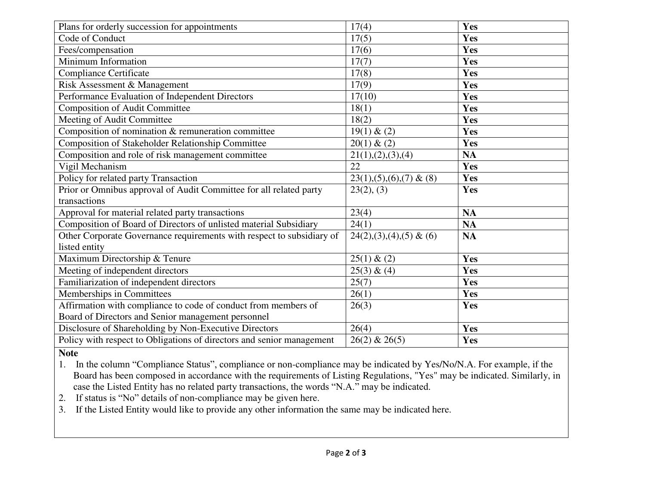| Plans for orderly succession for appointments                         | 17(4)                        | Yes        |
|-----------------------------------------------------------------------|------------------------------|------------|
| Code of Conduct                                                       | 17(5)                        | <b>Yes</b> |
| Fees/compensation                                                     | 17(6)                        | Yes        |
| Minimum Information                                                   | 17(7)                        | Yes        |
| <b>Compliance Certificate</b>                                         | 17(8)                        | Yes        |
| Risk Assessment & Management                                          | 17(9)                        | Yes        |
| Performance Evaluation of Independent Directors                       | 17(10)                       | Yes        |
| <b>Composition of Audit Committee</b>                                 | 18(1)                        | Yes        |
| Meeting of Audit Committee                                            | 18(2)                        | Yes        |
| Composition of nomination & remuneration committee                    | 19(1) & (2)                  | Yes        |
| Composition of Stakeholder Relationship Committee                     | 20(1) & (2)                  | Yes        |
| Composition and role of risk management committee                     | 21(1), (2), (3), (4)         | NA         |
| Vigil Mechanism                                                       | 22                           | Yes        |
| Policy for related party Transaction                                  | $23(1), (5), (6), (7)$ & (8) | Yes        |
| Prior or Omnibus approval of Audit Committee for all related party    | 23(2), (3)                   | Yes        |
| transactions                                                          |                              |            |
| Approval for material related party transactions                      | 23(4)                        | <b>NA</b>  |
| Composition of Board of Directors of unlisted material Subsidiary     | 24(1)                        | <b>NA</b>  |
| Other Corporate Governance requirements with respect to subsidiary of | $24(2),(3),(4),(5)$ & (6)    | <b>NA</b>  |
| listed entity                                                         |                              |            |
| Maximum Directorship & Tenure                                         | 25(1) & (2)                  | Yes        |
| Meeting of independent directors                                      | 25(3) & (4)                  | Yes        |
| Familiarization of independent directors                              | 25(7)                        | Yes        |
| Memberships in Committees                                             | 26(1)                        | Yes        |
| Affirmation with compliance to code of conduct from members of        | 26(3)                        | Yes        |
| Board of Directors and Senior management personnel                    |                              |            |
| Disclosure of Shareholding by Non-Executive Directors                 | 26(4)                        | Yes        |
| Policy with respect to Obligations of directors and senior management | $26(2)$ & $26(5)$            | Yes        |

**Note** 

1. In the column "Compliance Status", compliance or non-compliance may be indicated by Yes/No/N.A. For example, if the Board has been composed in accordance with the requirements of Listing Regulations, "Yes" may be indicated. Similarly, in case the Listed Entity has no related party transactions, the words "N.A." may be indicated.

2. If status is "No" details of non-compliance may be given here.

3. If the Listed Entity would like to provide any other information the same may be indicated here.